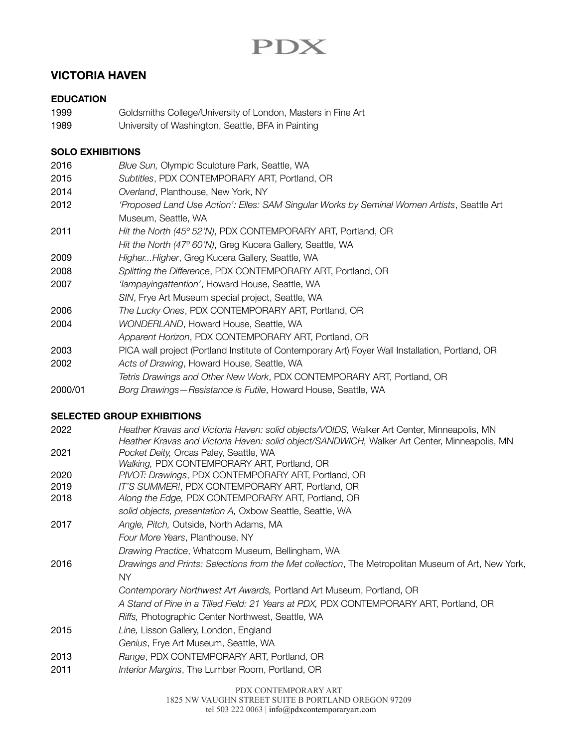# PDX

## **VICTORIA HAVEN**

### **EDUCATION**

- 1999 **Soldsmiths College/University of London, Masters in Fine Art**
- 1989 **University of Washington, Seattle, BFA in Painting**

## **SOLO EXHIBITIONS**

- 2016 *Blue Sun,* Olympic Sculpture Park, Seattle, WA
- 2015 *Subtitles*, PDX CONTEMPORARY ART, Portland, OR
- 2014 *Overland*, Planthouse, New York, NY
- 2012 *'Proposed Land Use Action': Elles: SAM Singular Works by Seminal Women Artists*, Seattle Art Museum, Seattle, WA
- 2011 *Hit the North (45º 52'N)*, PDX CONTEMPORARY ART, Portland, OR
- *Hit the North (47º 60'N)*, Greg Kucera Gallery, Seattle, WA
- 2009 *Higher...Higher*, Greg Kucera Gallery, Seattle, WA
- 2008 *Splitting the Difference*, PDX CONTEMPORARY ART, Portland, OR
- 2007 *'Iampayingattention'*, Howard House, Seattle, WA
- *SIN*, Frye Art Museum special project, Seattle, WA
- 2006 *The Lucky Ones*, PDX CONTEMPORARY ART, Portland, OR
- 2004 *WONDERLAND*, Howard House, Seattle, WA
- *Apparent Horizon*, PDX CONTEMPORARY ART, Portland, OR
- 2003 PICA wall project (Portland Institute of Contemporary Art) Foyer Wall Installation, Portland, OR
- 2002 *Acts of Drawing*, Howard House, Seattle, WA
- *Tetris Drawings and Other New Work*, PDX CONTEMPORARY ART, Portland, OR
- 2000/01 *Borg Drawings—Resistance is Futile*, Howard House, Seattle, WA

## **SELECTED GROUP EXHIBITIONS**

2022 *Heather Kravas and Victoria Haven: solid objects/VOIDS,* Walker Art Center, Minneapolis, MN  *Heather Kravas and Victoria Haven: solid object/SANDWICH,* Walker Art Center, Minneapolis, MN 2021 *Pocket Deity,* Orcas Paley, Seattle, WA *Walking,* PDX CONTEMPORARY ART, Portland, OR 2020 *PIVOT: Drawings*, PDX CONTEMPORARY ART, Portland, OR 2019 *IT'S SUMMER!*, PDX CONTEMPORARY ART, Portland, OR 2018 *Along the Edge,* PDX CONTEMPORARY ART, Portland, OR *solid objects, presentation A,* Oxbow Seattle, Seattle, WA 2017 *Angle, Pitch,* Outside, North Adams, MA *Four More Years*, Planthouse, NY *Drawing Practice*, Whatcom Museum, Bellingham, WA 2016 *Drawings and Prints: Selections from the Met collection*, The Metropolitan Museum of Art, New York, NY *Contemporary Northwest Art Awards,* Portland Art Museum, Portland, OR *A Stand of Pine in a Tilled Field: 21 Years at PDX,* PDX CONTEMPORARY ART, Portland, OR *Riffs,* Photographic Center Northwest, Seattle, WA 2015 *Line,* Lisson Gallery, London, England *Genius*, Frye Art Museum, Seattle, WA 2013 *Range*, PDX CONTEMPORARY ART, Portland, OR 2011 *Interior Margins*, The Lumber Room, Portland, OR

PDX CONTEMPORARY ART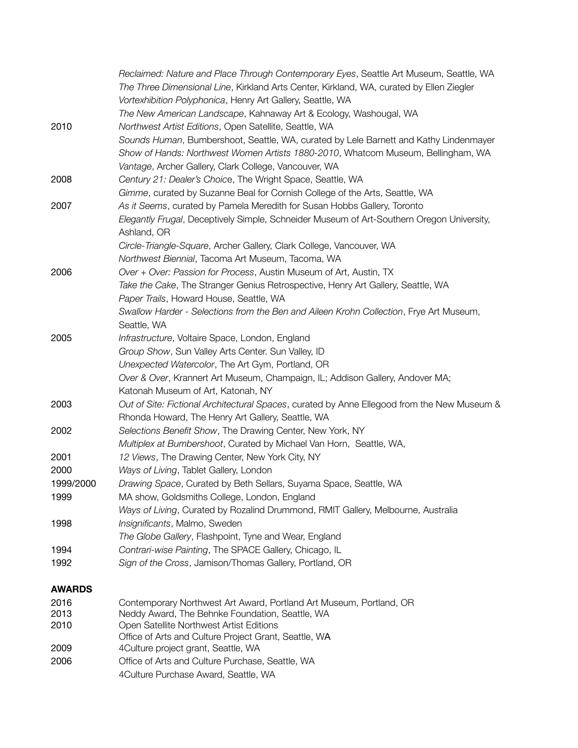|               | Reclaimed: Nature and Place Through Contemporary Eyes, Seattle Art Museum, Seattle, WA       |
|---------------|----------------------------------------------------------------------------------------------|
|               | The Three Dimensional Line, Kirkland Arts Center, Kirkland, WA, curated by Ellen Ziegler     |
|               | Vortexhibition Polyphonica, Henry Art Gallery, Seattle, WA                                   |
|               | The New American Landscape, Kahnaway Art & Ecology, Washougal, WA                            |
| 2010          | Northwest Artist Editions, Open Satellite, Seattle, WA                                       |
|               | Sounds Human, Bumbershoot, Seattle, WA, curated by Lele Barnett and Kathy Lindenmayer        |
|               | Show of Hands: Northwest Women Artists 1880-2010, Whatcom Museum, Bellingham, WA             |
|               | Vantage, Archer Gallery, Clark College, Vancouver, WA                                        |
| 2008          | Century 21: Dealer's Choice, The Wright Space, Seattle, WA                                   |
|               | Gimme, curated by Suzanne Beal for Cornish College of the Arts, Seattle, WA                  |
| 2007          | As it Seems, curated by Pamela Meredith for Susan Hobbs Gallery, Toronto                     |
|               | Elegantly Frugal, Deceptively Simple, Schneider Museum of Art-Southern Oregon University,    |
|               | Ashland, OR                                                                                  |
|               | Circle-Triangle-Square, Archer Gallery, Clark College, Vancouver, WA                         |
|               | Northwest Biennial, Tacoma Art Museum, Tacoma, WA                                            |
| 2006          | Over + Over: Passion for Process, Austin Museum of Art, Austin, TX                           |
|               | Take the Cake, The Stranger Genius Retrospective, Henry Art Gallery, Seattle, WA             |
|               | Paper Trails, Howard House, Seattle, WA                                                      |
|               | Swallow Harder - Selections from the Ben and Aileen Krohn Collection, Frye Art Museum,       |
|               | Seattle, WA                                                                                  |
| 2005          | Infrastructure, Voltaire Space, London, England                                              |
|               | Group Show, Sun Valley Arts Center. Sun Valley, ID                                           |
|               | Unexpected Watercolor, The Art Gym, Portland, OR                                             |
|               | Over & Over, Krannert Art Museum, Champaign, IL; Addison Gallery, Andover MA;                |
|               | Katonah Museum of Art, Katonah, NY                                                           |
| 2003          | Out of Site: Fictional Architectural Spaces, curated by Anne Ellegood from the New Museum &  |
|               | Rhonda Howard, The Henry Art Gallery, Seattle, WA                                            |
| 2002          | Selections Benefit Show, The Drawing Center, New York, NY                                    |
|               | Multiplex at Bumbershoot, Curated by Michael Van Horn, Seattle, WA,                          |
| 2001          | 12 Views, The Drawing Center, New York City, NY                                              |
| 2000          | Ways of Living, Tablet Gallery, London                                                       |
| 1999/2000     | Drawing Space, Curated by Beth Sellars, Suyama Space, Seattle, WA                            |
| 1999          | MA show, Goldsmiths College, London, England                                                 |
|               | Ways of Living, Curated by Rozalind Drummond, RMIT Gallery, Melbourne, Australia             |
| 1998          | Insignificants, Malmo, Sweden                                                                |
|               | The Globe Gallery, Flashpoint, Tyne and Wear, England                                        |
| 1994          | Contrari-wise Painting, The SPACE Gallery, Chicago, IL                                       |
| 1992          | Sign of the Cross, Jamison/Thomas Gallery, Portland, OR                                      |
|               |                                                                                              |
| <b>AWARDS</b> |                                                                                              |
| 2016          | Contemporary Northwest Art Award, Portland Art Museum, Portland, OR                          |
| 2013          | Neddy Award, The Behnke Foundation, Seattle, WA                                              |
| 2010          | Open Satellite Northwest Artist Editions                                                     |
| 2009          | Office of Arts and Culture Project Grant, Seattle, WA<br>4Culture project grant, Seattle, WA |
| 2006          | Office of Arts and Culture Purchase, Seattle, WA                                             |
|               |                                                                                              |

4Culture Purchase Award, Seattle, WA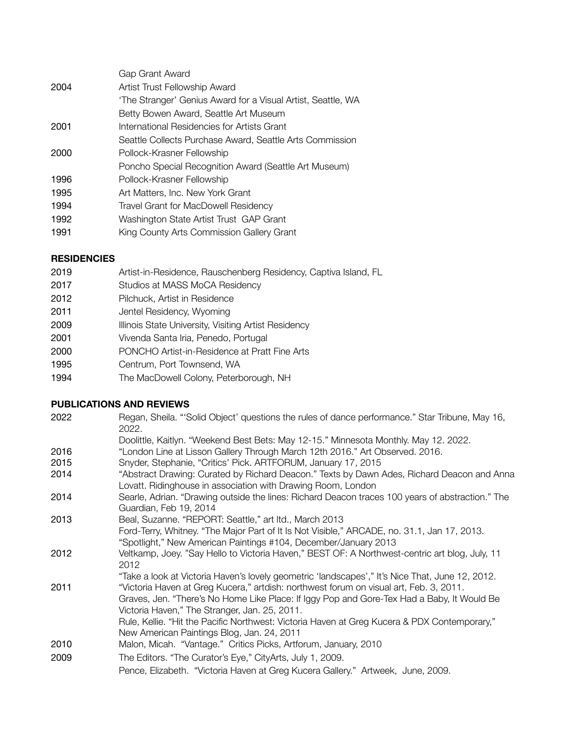|      | Gap Grant Award                                              |
|------|--------------------------------------------------------------|
| 2004 | Artist Trust Fellowship Award                                |
|      | 'The Stranger' Genius Award for a Visual Artist, Seattle, WA |
|      | Betty Bowen Award, Seattle Art Museum                        |
| 2001 | International Residencies for Artists Grant                  |
|      | Seattle Collects Purchase Award, Seattle Arts Commission     |
| 2000 | Pollock-Krasner Fellowship                                   |
|      | Poncho Special Recognition Award (Seattle Art Museum)        |
| 1996 | Pollock-Krasner Fellowship                                   |
| 1995 | Art Matters, Inc. New York Grant                             |
| 1994 | Travel Grant for MacDowell Residency                         |
| 1992 | Washington State Artist Trust GAP Grant                      |
| 1991 | King County Arts Commission Gallery Grant                    |

#### **RESIDENCIES**

- 2019 **Artist-in-Residence, Rauschenberg Residency, Captiva Island, FL**
- 2017 **Studios at MASS MoCA Residency**
- 2012 Pilchuck, Artist in Residence
- 2011 **Jentel Residency, Wyoming**
- 2009 **Illinois State University, Visiting Artist Residency**
- 2001 Vivenda Santa Iria, Penedo, Portugal
- 2000 PONCHO Artist-in-Residence at Pratt Fine Arts
- 1995 **Centrum, Port Townsend, WA**
- 1994 The MacDowell Colony, Peterborough, NH

#### **PUBLICATIONS AND REVIEWS**

- 2022 Regan, Sheila. "'Solid Object' questions the rules of dance performance." Star Tribune, May 16, 2022.
- Doolittle, Kaitlyn. "Weekend Best Bets: May 12-15." Minnesota Monthly. May 12. 2022.
- 2016 "London Line at Lisson Gallery Through March 12th 2016." Art Observed. 2016.
- 2015 Snyder, Stephanie, "Critics' Pick. ARTFORUM, January 17, 2015
- 2014 "Abstract Drawing: Curated by Richard Deacon." Texts by Dawn Ades, Richard Deacon and Anna Lovatt. Ridinghouse in association with Drawing Room, London
- 2014 Searle, Adrian. "Drawing outside the lines: Richard Deacon traces 100 years of abstraction." The Guardian, Feb 19, 2014
- 2013 Beal, Suzanne. "REPORT: Seattle," art ltd., March 2013 Ford-Terry, Whitney. "The Major Part of It Is Not Visible," ARCADE, no. 31.1, Jan 17, 2013.
- "Spotlight," New American Paintings #104, December/January 2013
- 2012 Veltkamp, Joey. "Say Hello to Victoria Haven," BEST OF: A Northwest-centric art blog, July, 11 2012
- "Take a look at Victoria Haven's lovely geometric 'landscapes'," It's Nice That, June 12, 2012. 2011 "Victoria Haven at Greg Kucera," artdish: northwest forum on visual art, Feb. 3, 2011.
- Graves, Jen. "There's No Home Like Place: If Iggy Pop and Gore-Tex Had a Baby, It Would Be Victoria Haven," The Stranger, Jan. 25, 2011.
- Rule, Kellie. "Hit the Pacific Northwest: Victoria Haven at Greg Kucera & PDX Contemporary," New American Paintings Blog, Jan. 24, 2011
- 2010 Malon, Micah. "Vantage." Critics Picks, Artforum, January, 2010
- 2009 The Editors. "The Curator's Eye," CityArts, July 1, 2009.

 Pence, Elizabeth. "Victoria Haven at Greg Kucera Gallery." Artweek, June, 2009.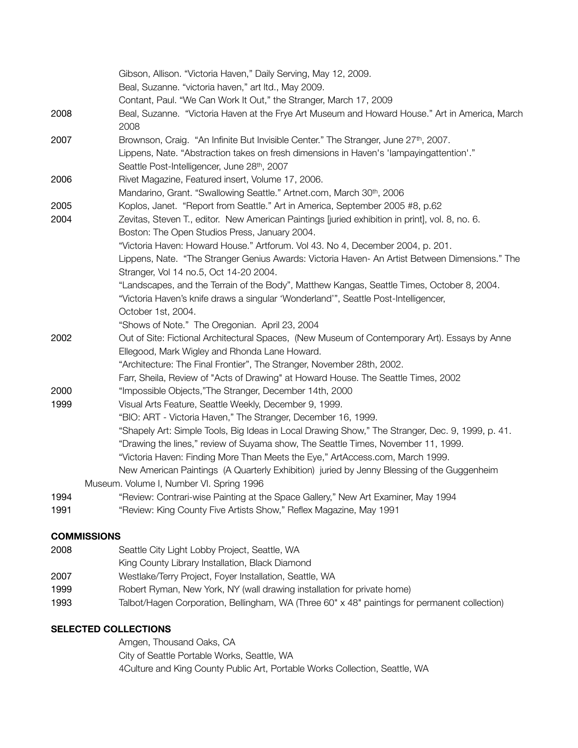|      | Gibson, Allison. "Victoria Haven," Daily Serving, May 12, 2009.                                  |
|------|--------------------------------------------------------------------------------------------------|
|      | Beal, Suzanne. "victoria haven," art ltd., May 2009.                                             |
|      | Contant, Paul. "We Can Work It Out," the Stranger, March 17, 2009                                |
| 2008 | Beal, Suzanne. "Victoria Haven at the Frye Art Museum and Howard House." Art in America, March   |
|      | 2008                                                                                             |
| 2007 | Brownson, Craig. "An Infinite But Invisible Center." The Stranger, June 27th, 2007.              |
|      | Lippens, Nate. "Abstraction takes on fresh dimensions in Haven's 'lampayingattention'."          |
|      | Seattle Post-Intelligencer, June 28th, 2007                                                      |
| 2006 | Rivet Magazine, Featured insert, Volume 17, 2006.                                                |
|      | Mandarino, Grant. "Swallowing Seattle." Artnet.com, March 30th, 2006                             |
| 2005 | Koplos, Janet. "Report from Seattle." Art in America, September 2005 #8, p.62                    |
| 2004 | Zevitas, Steven T., editor. New American Paintings [juried exhibition in print], vol. 8, no. 6.  |
|      | Boston: The Open Studios Press, January 2004.                                                    |
|      | "Victoria Haven: Howard House." Artforum. Vol 43. No 4, December 2004, p. 201.                   |
|      | Lippens, Nate. "The Stranger Genius Awards: Victoria Haven- An Artist Between Dimensions." The   |
|      | Stranger, Vol 14 no.5, Oct 14-20 2004.                                                           |
|      | "Landscapes, and the Terrain of the Body", Matthew Kangas, Seattle Times, October 8, 2004.       |
|      | "Victoria Haven's knife draws a singular 'Wonderland'", Seattle Post-Intelligencer,              |
|      | October 1st, 2004.                                                                               |
|      | "Shows of Note." The Oregonian. April 23, 2004                                                   |
| 2002 | Out of Site: Fictional Architectural Spaces, (New Museum of Contemporary Art). Essays by Anne    |
|      | Ellegood, Mark Wigley and Rhonda Lane Howard.                                                    |
|      | "Architecture: The Final Frontier", The Stranger, November 28th, 2002.                           |
|      | Farr, Sheila, Review of "Acts of Drawing" at Howard House. The Seattle Times, 2002               |
| 2000 | "Impossible Objects,"The Stranger, December 14th, 2000                                           |
| 1999 | Visual Arts Feature, Seattle Weekly, December 9, 1999.                                           |
|      | "BIO: ART - Victoria Haven," The Stranger, December 16, 1999.                                    |
|      | "Shapely Art: Simple Tools, Big Ideas in Local Drawing Show," The Stranger, Dec. 9, 1999, p. 41. |
|      | "Drawing the lines," review of Suyama show, The Seattle Times, November 11, 1999.                |
|      | "Victoria Haven: Finding More Than Meets the Eye," ArtAccess.com, March 1999.                    |
|      | New American Paintings (A Quarterly Exhibition) juried by Jenny Blessing of the Guggenheim       |
|      | Museum. Volume I, Number VI. Spring 1996                                                         |
| 1994 | "Review: Contrari-wise Painting at the Space Gallery," New Art Examiner, May 1994                |
| 1991 | "Review: King County Five Artists Show," Reflex Magazine, May 1991                               |
|      | COMMICCIONIC                                                                                     |

#### **COMMISSIONS**

- 2008 Seattle City Light Lobby Project, Seattle, WA
- King County Library Installation, Black Diamond
- 2007 Westlake/Terry Project, Foyer Installation, Seattle, WA
- 1999 Robert Ryman, New York, NY (wall drawing installation for private home)
- 1993 Talbot/Hagen Corporation, Bellingham, WA (Three 60" x 48" paintings for permanent collection)

## **SELECTED COLLECTIONS**

Amgen, Thousand Oaks, CA City of Seattle Portable Works, Seattle, WA 4Culture and King County Public Art, Portable Works Collection, Seattle, WA